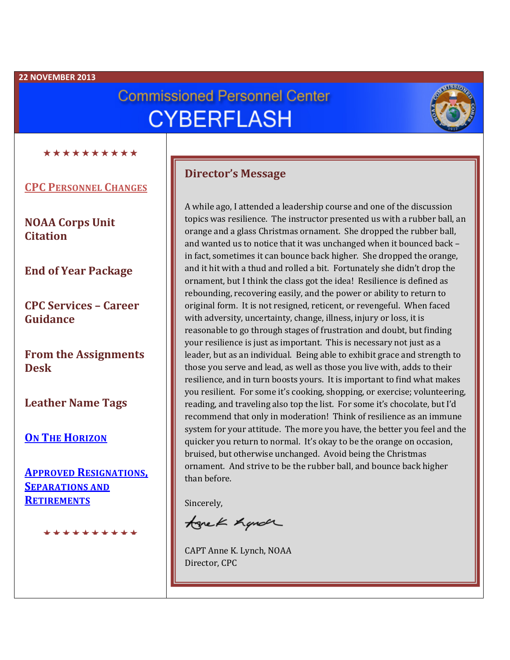#### **22 NOVEMBER 2013**

# **Commissioned Personnel Center CYBERFLASH**



\*\*\*\*\*\*\*\*\*\*

**CPC PERSONNEL CHANGES**

**NOAA Corps Unit Citation**

**End of Year Package**

**CPC Services – Career Guidance**

**From the Assignments Desk**

**Leather Name Tags**

**ON THE HORIZON**

**APPROVED RESIGNATIONS, SEPARATIONS AND RETIREMENTS**

مقاربتك مقاربتك بنقاربتك بنقاربتك متقاربتك بنقا

#### **Director's Message**

A while ago, I attended a leadership course and one of the discussion topics was resilience. The instructor presented us with a rubber ball, an orange and a glass Christmas ornament. She dropped the rubber ball, and wanted us to notice that it was unchanged when it bounced back – in fact, sometimes it can bounce back higher. She dropped the orange, and it hit with a thud and rolled a bit. Fortunately she didn't drop the ornament, but I think the class got the idea! Resilience is defined as rebounding, recovering easily, and the power or ability to return to original form. It is not resigned, reticent, or revengeful. When faced with adversity, uncertainty, change, illness, injury or loss, it is reasonable to go through stages of frustration and doubt, but finding your resilience is just as important. This is necessary not just as a leader, but as an individual. Being able to exhibit grace and strength to those you serve and lead, as well as those you live with, adds to their resilience, and in turn boosts yours. It is important to find what makes you resilient. For some it's cooking, shopping, or exercise; volunteering, reading, and traveling also top the list. For some it's chocolate, but I'd recommend that only in moderation! Think of resilience as an immune system for your attitude. The more you have, the better you feel and the quicker you return to normal. It's okay to be the orange on occasion, bruised, but otherwise unchanged. Avoid being the Christmas ornament. And strive to be the rubber ball, and bounce back higher than before.

Sincerely,

tonek hande

CAPT Anne K. Lynch, NOAA Director, CPC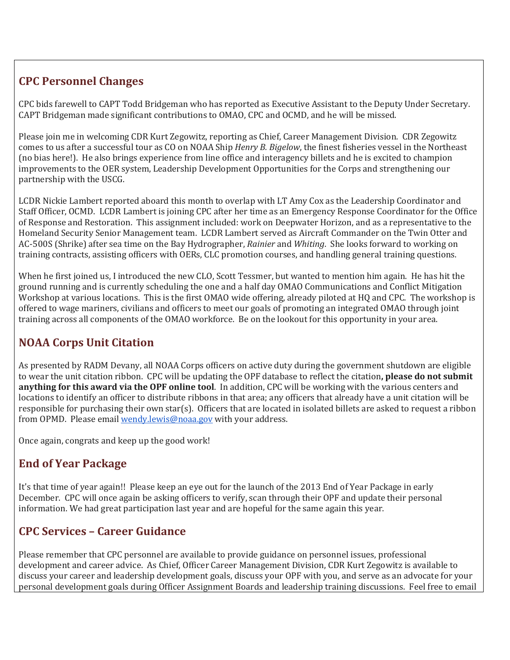# **CPC Personnel Changes**

CPC bids farewell to CAPT Todd Bridgeman who has reported as Executive Assistant to the Deputy Under Secretary. CAPT Bridgeman made significant contributions to OMAO, CPC and OCMD, and he will be missed.

Please join me in welcoming CDR Kurt Zegowitz, reporting as Chief, Career Management Division. CDR Zegowitz comes to us after a successful tour as CO on NOAA Ship *Henry B. Bigelow*, the finest fisheries vessel in the Northeast (no bias here!). He also brings experience from line office and interagency billets and he is excited to champion improvements to the OER system, Leadership Development Opportunities for the Corps and strengthening our partnership with the USCG.

LCDR Nickie Lambert reported aboard this month to overlap with LT Amy Cox as the Leadership Coordinator and Staff Officer, OCMD. LCDR Lambert is joining CPC after her time as an Emergency Response Coordinator for the Office of Response and Restoration. This assignment included: work on Deepwater Horizon, and as a representative to the Homeland Security Senior Management team. LCDR Lambert served as Aircraft Commander on the Twin Otter and AC-500S (Shrike) after sea time on the Bay Hydrographer, *Rainier* and *Whiting*. She looks forward to working on training contracts, assisting officers with OERs, CLC promotion courses, and handling general training questions.

When he first joined us, I introduced the new CLO, Scott Tessmer, but wanted to mention him again. He has hit the ground running and is currently scheduling the one and a half day OMAO Communications and Conflict Mitigation Workshop at various locations. This is the first OMAO wide offering, already piloted at HQ and CPC. The workshop is offered to wage mariners, civilians and officers to meet our goals of promoting an integrated OMAO through joint training across all components of the OMAO workforce. Be on the lookout for this opportunity in your area.

# **NOAA Corps Unit Citation**

As presented by RADM Devany, all NOAA Corps officers on active duty during the government shutdown are eligible to wear the unit citation ribbon. CPC will be updating the OPF database to reflect the citation**, please do not submit anything for this award via the OPF online tool**. In addition, CPC will be working with the various centers and locations to identify an officer to distribute ribbons in that area; any officers that already have a unit citation will be responsible for purchasing their own star(s). Officers that are located in isolated billets are asked to request a ribbon from OPMD. Please email [wendy.lewis@noaa.gov](mailto:wendy.lewis@noaa.gov) with your address.

Once again, congrats and keep up the good work!

## **End of Year Package**

It's that time of year again!! Please keep an eye out for the launch of the 2013 End of Year Package in early December. CPC will once again be asking officers to verify, scan through their OPF and update their personal information. We had great participation last year and are hopeful for the same again this year.

## **CPC Services – Career Guidance**

Please remember that CPC personnel are available to provide guidance on personnel issues, professional development and career advice. As Chief, Officer Career Management Division, CDR Kurt Zegowitz is available to discuss your career and leadership development goals, discuss your OPF with you, and serve as an advocate for your personal development goals during Officer Assignment Boards and leadership training discussions. Feel free to email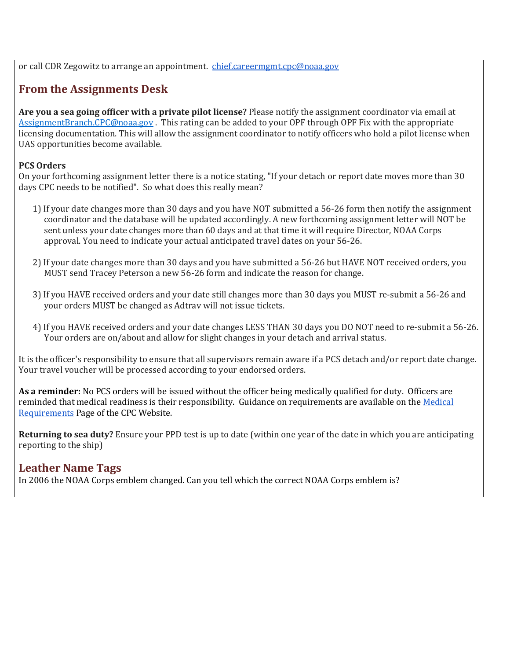or call CDR Zegowitz to arrange an appointment. [chief.careermgmt.cpc@noaa.gov](mailto:chief.careermgmt.cpc@noaa.gov)

## **From the Assignments Desk**

**Are you a sea going officer with a private pilot license?** Please notify the assignment coordinator via email at [AssignmentBranch.CPC@noaa.gov](mailto:AssignmentBranch.CPC@noaa.gov) . This rating can be added to your OPF through OPF Fix with the appropriate licensing documentation. This will allow the assignment coordinator to notify officers who hold a pilot license when UAS opportunities become available.

#### **PCS Orders**

On your forthcoming assignment letter there is a notice stating, "If your detach or report date moves more than 30 days CPC needs to be notified". So what does this really mean?

- 1) If your date changes more than 30 days and you have NOT submitted a 56-26 form then notify the assignment coordinator and the database will be updated accordingly. A new forthcoming assignment letter will NOT be sent unless your date changes more than 60 days and at that time it will require Director, NOAA Corps approval. You need to indicate your actual anticipated travel dates on your 56-26.
- 2) If your date changes more than 30 days and you have submitted a 56-26 but HAVE NOT received orders, you MUST send Tracey Peterson a new 56-26 form and indicate the reason for change.
- 3) If you HAVE received orders and your date still changes more than 30 days you MUST re-submit a 56-26 and your orders MUST be changed as Adtrav will not issue tickets.
- 4) If you HAVE received orders and your date changes LESS THAN 30 days you DO NOT need to re-submit a 56-26. Your orders are on/about and allow for slight changes in your detach and arrival status.

It is the officer's responsibility to ensure that all supervisors remain aware if a PCS detach and/or report date change. Your travel voucher will be processed according to your endorsed orders.

**As a reminder:** No PCS orders will be issued without the officer being medically qualified for duty. Officers are reminded that medical readiness is their responsibility. Guidance on requirements are available on the Medical [Requirements](http://www.corpscpc.noaa.gov/medical/medical_req.html) Page of the CPC Website.

**Returning to sea duty?** Ensure your PPD test is up to date (within one year of the date in which you are anticipating reporting to the ship)

#### **Leather Name Tags**

In 2006 the NOAA Corps emblem changed. Can you tell which the correct NOAA Corps emblem is?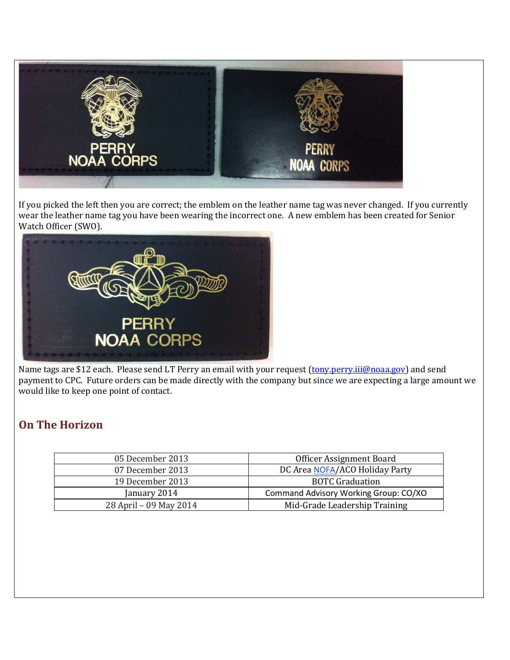

If you picked the left then you are correct; the emblem on the leather name tag was never changed. If you currently wear the leather name tag you have been wearing the incorrect one. A new emblem has been created for Senior Watch Officer (SWO).



Name tags are \$12 each. Please send LT Perry an email with your request [\(tony.perry.iii@noaa.gov\)](mailto:tony.perry.iii@noaa.gov) and send payment to CPC. Future orders can be made directly with the company but since we are expecting a large amount we would like to keep one point of contact.

## **On The Horizon**

| Officer Assignment Board              |
|---------------------------------------|
| DC Area NOFA/ACO Holiday Party        |
| <b>BOTC Graduation</b>                |
| Command Advisory Working Group: CO/XO |
| Mid-Grade Leadership Training         |
|                                       |